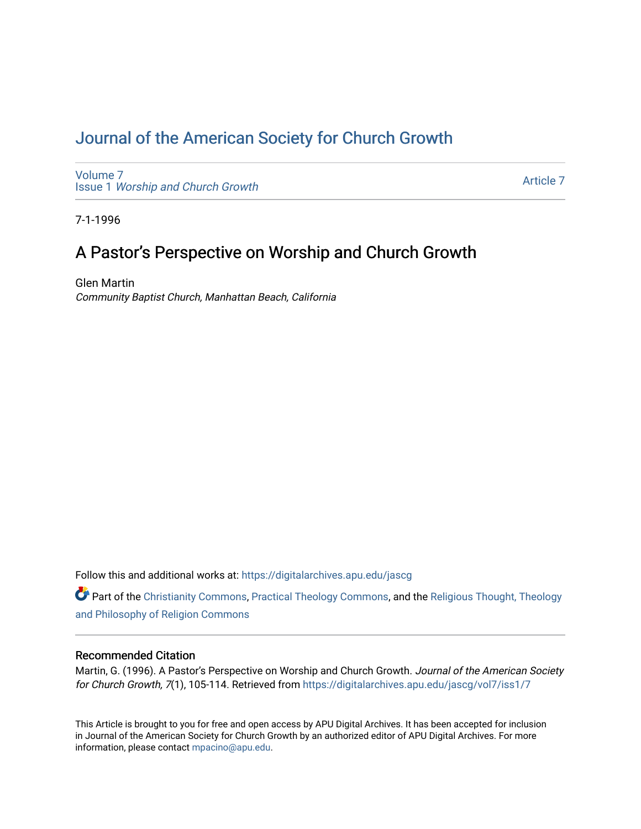# [Journal of the American Society for Church Growth](https://digitalarchives.apu.edu/jascg)

[Volume 7](https://digitalarchives.apu.edu/jascg/vol7) Issue 1 [Worship and Church Growth](https://digitalarchives.apu.edu/jascg/vol7/iss1)

[Article 7](https://digitalarchives.apu.edu/jascg/vol7/iss1/7) 

7-1-1996

# A Pastor's Perspective on Worship and Church Growth

Glen Martin Community Baptist Church, Manhattan Beach, California

Follow this and additional works at: [https://digitalarchives.apu.edu/jascg](https://digitalarchives.apu.edu/jascg?utm_source=digitalarchives.apu.edu%2Fjascg%2Fvol7%2Fiss1%2F7&utm_medium=PDF&utm_campaign=PDFCoverPages) 

Part of the [Christianity Commons,](http://network.bepress.com/hgg/discipline/1181?utm_source=digitalarchives.apu.edu%2Fjascg%2Fvol7%2Fiss1%2F7&utm_medium=PDF&utm_campaign=PDFCoverPages) [Practical Theology Commons](http://network.bepress.com/hgg/discipline/1186?utm_source=digitalarchives.apu.edu%2Fjascg%2Fvol7%2Fiss1%2F7&utm_medium=PDF&utm_campaign=PDFCoverPages), and the [Religious Thought, Theology](http://network.bepress.com/hgg/discipline/544?utm_source=digitalarchives.apu.edu%2Fjascg%2Fvol7%2Fiss1%2F7&utm_medium=PDF&utm_campaign=PDFCoverPages)  [and Philosophy of Religion Commons](http://network.bepress.com/hgg/discipline/544?utm_source=digitalarchives.apu.edu%2Fjascg%2Fvol7%2Fiss1%2F7&utm_medium=PDF&utm_campaign=PDFCoverPages)

# Recommended Citation

Martin, G. (1996). A Pastor's Perspective on Worship and Church Growth. Journal of the American Society for Church Growth, 7(1), 105-114. Retrieved from [https://digitalarchives.apu.edu/jascg/vol7/iss1/7](https://digitalarchives.apu.edu/jascg/vol7/iss1/7?utm_source=digitalarchives.apu.edu%2Fjascg%2Fvol7%2Fiss1%2F7&utm_medium=PDF&utm_campaign=PDFCoverPages)

This Article is brought to you for free and open access by APU Digital Archives. It has been accepted for inclusion in Journal of the American Society for Church Growth by an authorized editor of APU Digital Archives. For more information, please contact [mpacino@apu.edu](mailto:mpacino@apu.edu).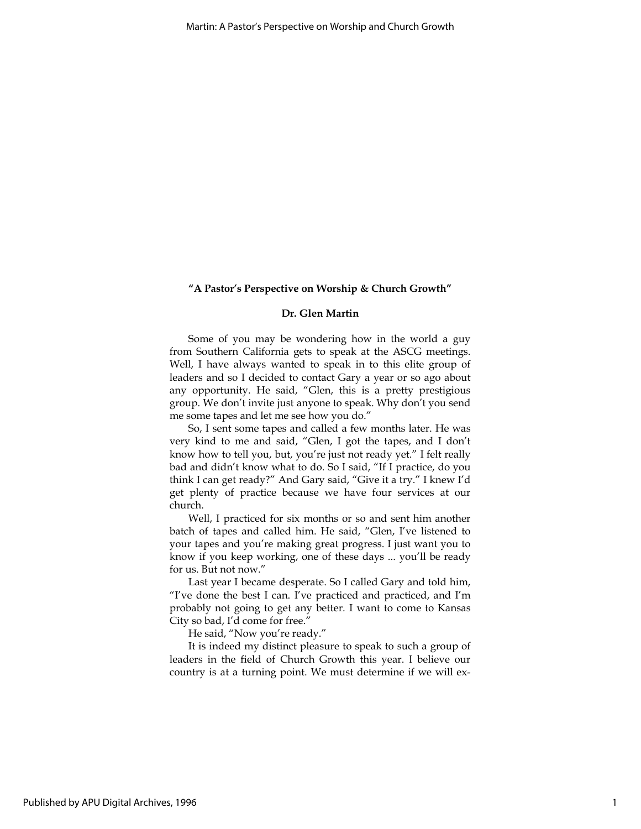## "A Pastor's Perspective on Worship & Church Growth"

### Dr. Glen Martin

Some of you may be wondering how in the world a guy from Southern California gets to speak at the ASCG meetings. Well, I have always wanted to speak in to this elite group of leaders and so I decided to contact Gary a year or so ago about any opportunity. He said, "Glen, this is a pretty prestigious group. We don't invite just anyone to speak. Why don't you send me some tapes and let me see how you do."

So, I sent some tapes and called a few months later. He was very kind to me and said, "Glen, I got the tapes, and I don't know how to tell you, but, you're just not ready yet." I felt really bad and didn't know what to do. So I said, "If I practice, do you think I can get ready?" And Gary said, "Give it a try." I knew I'd get plenty of practice because we have four services at our church.

Well, I practiced for six months or so and sent him another batch of tapes and called him. He said, "Glen, I've listened to your tapes and you're making great progress. I just want you to know if you keep working, one of these days ... you'll be ready for us. But not now."

Last year I became desperate. So I called Gary and told him, "I've done the best I can. I've practiced and practiced, and I'm probably not going to get any better. I want to come to Kansas City so bad, I'd come for free."

He said, "Now you're ready."

It is indeed my distinct pleasure to speak to such a group of leaders in the field of Church Growth this year. I believe our country is at a turning point. We must determine if we will ex-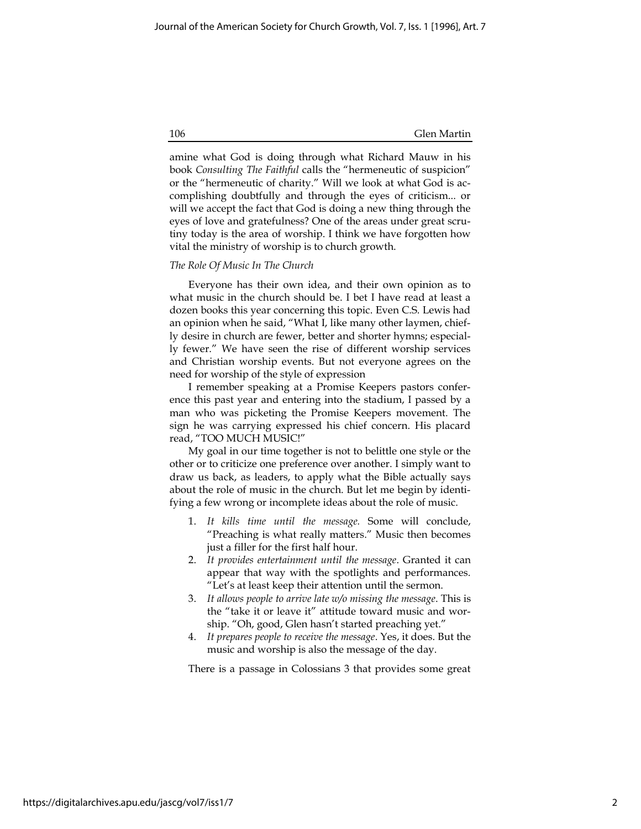amine what God is doing through what Richard Mauw in his book Consulting The Faithful calls the "hermeneutic of suspicion" or the "hermeneutic of charity." Will we look at what God is accomplishing doubtfully and through the eyes of criticism... or will we accept the fact that God is doing a new thing through the eyes of love and gratefulness? One of the areas under great scrutiny today is the area of worship. I think we have forgotten how vital the ministry of worship is to church growth.

#### The Role Of Music In The Church

Everyone has their own idea, and their own opinion as to what music in the church should be. I bet I have read at least a dozen books this year concerning this topic. Even C.S. Lewis had an opinion when he said, "What I, like many other laymen, chiefly desire in church are fewer, better and shorter hymns; especially fewer." We have seen the rise of different worship services and Christian worship events. But not everyone agrees on the need for worship of the style of expression

I remember speaking at a Promise Keepers pastors conference this past year and entering into the stadium, I passed by a man who was picketing the Promise Keepers movement. The sign he was carrying expressed his chief concern. His placard read, "TOO MUCH MUSIC!"

My goal in our time together is not to belittle one style or the other or to criticize one preference over another. I simply want to draw us back, as leaders, to apply what the Bible actually says about the role of music in the church. But let me begin by identifying a few wrong or incomplete ideas about the role of music.

- 1. It kills time until the message. Some will conclude, "Preaching is what really matters." Music then becomes just a filler for the first half hour.
- 2. It provides entertainment until the message. Granted it can appear that way with the spotlights and performances. "Let's at least keep their attention until the sermon.
- 3. It allows people to arrive late w/o missing the message. This is the "take it or leave it" attitude toward music and worship. "Oh, good, Glen hasn't started preaching yet."
- 4. It prepares people to receive the message. Yes, it does. But the music and worship is also the message of the day.

There is a passage in Colossians 3 that provides some great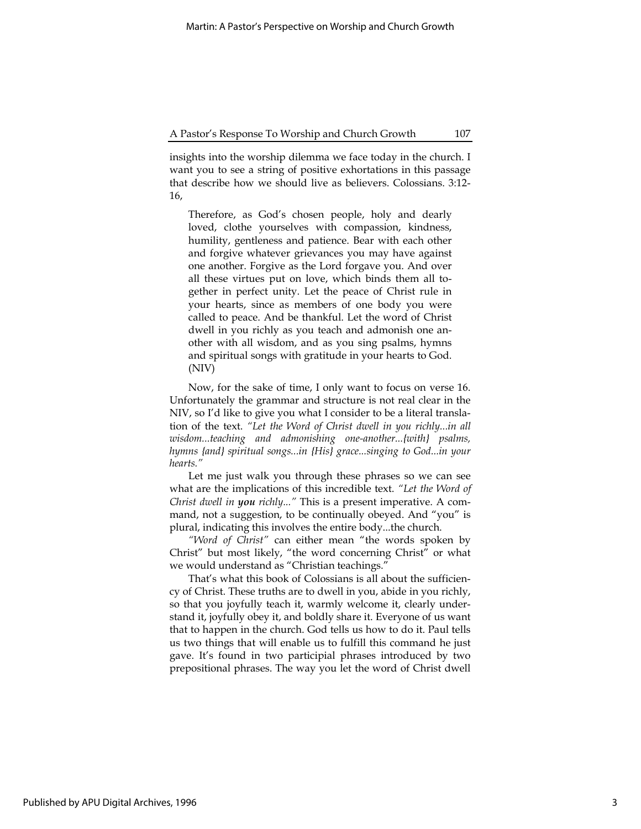insights into the worship dilemma we face today in the church. I want you to see a string of positive exhortations in this passage that describe how we should live as believers. Colossians. 3:12- 16,

Therefore, as God's chosen people, holy and dearly loved, clothe yourselves with compassion, kindness, humility, gentleness and patience. Bear with each other and forgive whatever grievances you may have against one another. Forgive as the Lord forgave you. And over all these virtues put on love, which binds them all together in perfect unity. Let the peace of Christ rule in your hearts, since as members of one body you were called to peace. And be thankful. Let the word of Christ dwell in you richly as you teach and admonish one another with all wisdom, and as you sing psalms, hymns and spiritual songs with gratitude in your hearts to God. (NIV)

Now, for the sake of time, I only want to focus on verse 16. Unfortunately the grammar and structure is not real clear in the NIV, so I'd like to give you what I consider to be a literal translation of the text. "Let the Word of Christ dwell in you richly...in all wisdom...teaching and admonishing one-another...{with} psalms, hymns {and} spiritual songs...in {His} grace...singing to God...in your hearts."

Let me just walk you through these phrases so we can see what are the implications of this incredible text. "Let the Word of Christ dwell in you richly..." This is a present imperative. A command, not a suggestion, to be continually obeyed. And "you" is plural, indicating this involves the entire body...the church.

"Word of Christ" can either mean "the words spoken by Christ" but most likely, "the word concerning Christ" or what we would understand as "Christian teachings."

That's what this book of Colossians is all about the sufficiency of Christ. These truths are to dwell in you, abide in you richly, so that you joyfully teach it, warmly welcome it, clearly understand it, joyfully obey it, and boldly share it. Everyone of us want that to happen in the church. God tells us how to do it. Paul tells us two things that will enable us to fulfill this command he just gave. It's found in two participial phrases introduced by two prepositional phrases. The way you let the word of Christ dwell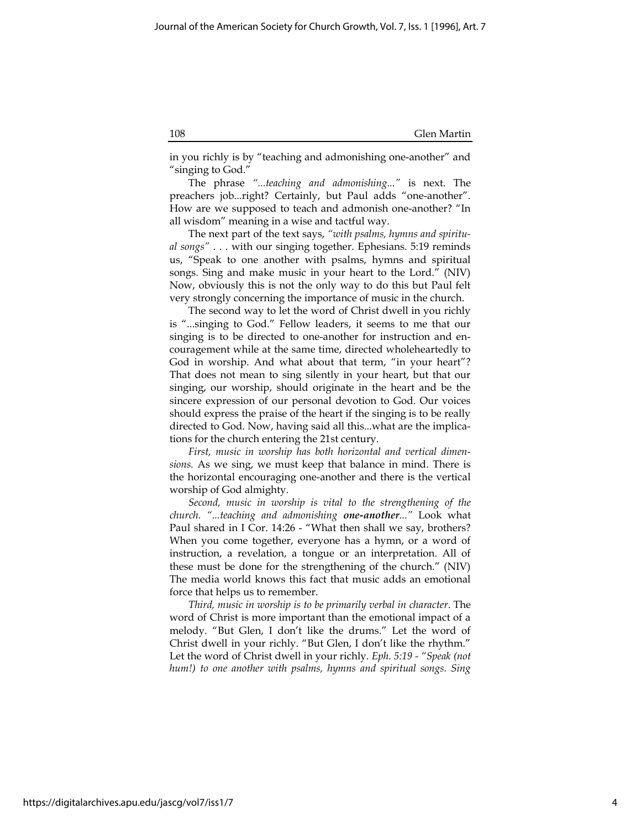in you richly is by "teaching and admonishing one-another" and "singing to God."

The phrase "...teaching and admonishing..." is next. The preachers job...right? Certainly, but Paul adds "one-another". How are we supposed to teach and admonish one-another? "In all wisdom" meaning in a wise and tactful way.

The next part of the text says, "with psalms, hymns and spiritual songs" . . . with our singing together. Ephesians. 5:19 reminds us, "Speak to one another with psalms, hymns and spiritual songs. Sing and make music in your heart to the Lord." (NIV) Now, obviously this is not the only way to do this but Paul felt very strongly concerning the importance of music in the church.

The second way to let the word of Christ dwell in you richly is "...singing to God." Fellow leaders, it seems to me that our singing is to be directed to one-another for instruction and encouragement while at the same time, directed wholeheartedly to God in worship. And what about that term, "in your heart"? That does not mean to sing silently in your heart, but that our singing, our worship, should originate in the heart and be the sincere expression of our personal devotion to God. Our voices should express the praise of the heart if the singing is to be really directed to God. Now, having said all this...what are the implications for the church entering the 21st century.

First, music in worship has both horizontal and vertical dimensions. As we sing, we must keep that balance in mind. There is the horizontal encouraging one-another and there is the vertical worship of God almighty.

Second, music in worship is vital to the strengthening of the church. "...teaching and admonishing one-another..." Look what Paul shared in I Cor. 14:26 - "What then shall we say, brothers? When you come together, everyone has a hymn, or a word of instruction, a revelation, a tongue or an interpretation. All of these must be done for the strengthening of the church." (NIV) The media world knows this fact that music adds an emotional force that helps us to remember.

Third, music in worship is to be primarily verbal in character. The word of Christ is more important than the emotional impact of a melody. "But Glen, I don't like the drums." Let the word of Christ dwell in your richly. "But Glen, I don't like the rhythm." Let the word of Christ dwell in your richly. Eph. 5:19 - "Speak (not hum!) to one another with psalms, hymns and spiritual songs. Sing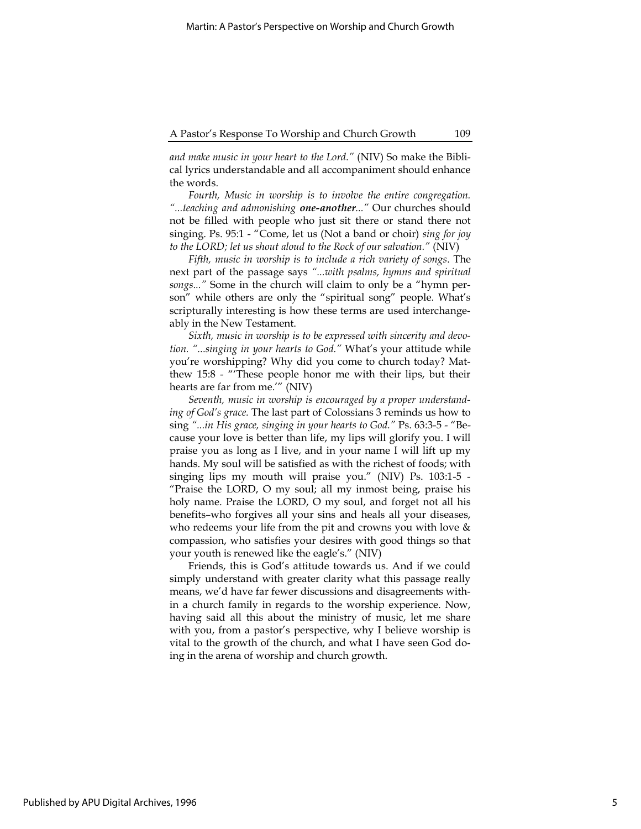#### A Pastor's Response To Worship and Church Growth 109

and make music in your heart to the Lord." (NIV) So make the Biblical lyrics understandable and all accompaniment should enhance the words.

Fourth, Music in worship is to involve the entire congregation. "...teaching and admonishing one-another..." Our churches should not be filled with people who just sit there or stand there not singing. Ps. 95:1 - "Come, let us (Not a band or choir) sing for joy to the LORD; let us shout aloud to the Rock of our salvation." (NIV)

Fifth, music in worship is to include a rich variety of songs. The next part of the passage says "...with psalms, hymns and spiritual songs..." Some in the church will claim to only be a "hymn person" while others are only the "spiritual song" people. What's scripturally interesting is how these terms are used interchangeably in the New Testament.

Sixth, music in worship is to be expressed with sincerity and devotion. "...singing in your hearts to God." What's your attitude while you're worshipping? Why did you come to church today? Matthew 15:8 - "'These people honor me with their lips, but their hearts are far from me.'" (NIV)

Seventh, music in worship is encouraged by a proper understanding of God's grace. The last part of Colossians 3 reminds us how to sing "...in His grace, singing in your hearts to God." Ps. 63:3-5 - "Because your love is better than life, my lips will glorify you. I will praise you as long as I live, and in your name I will lift up my hands. My soul will be satisfied as with the richest of foods; with singing lips my mouth will praise you." (NIV) Ps. 103:1-5 - "Praise the LORD, O my soul; all my inmost being, praise his holy name. Praise the LORD, O my soul, and forget not all his benefits–who forgives all your sins and heals all your diseases, who redeems your life from the pit and crowns you with love  $\&$ compassion, who satisfies your desires with good things so that your youth is renewed like the eagle's." (NIV)

Friends, this is God's attitude towards us. And if we could simply understand with greater clarity what this passage really means, we'd have far fewer discussions and disagreements within a church family in regards to the worship experience. Now, having said all this about the ministry of music, let me share with you, from a pastor's perspective, why I believe worship is vital to the growth of the church, and what I have seen God doing in the arena of worship and church growth.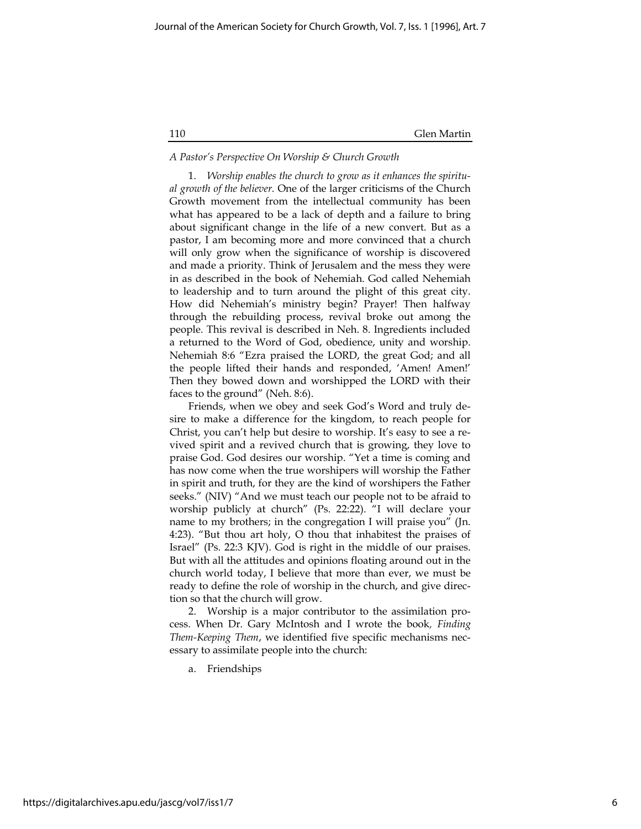#### A Pastor's Perspective On Worship & Church Growth

1. Worship enables the church to grow as it enhances the spiritual growth of the believer. One of the larger criticisms of the Church Growth movement from the intellectual community has been what has appeared to be a lack of depth and a failure to bring about significant change in the life of a new convert. But as a pastor, I am becoming more and more convinced that a church will only grow when the significance of worship is discovered and made a priority. Think of Jerusalem and the mess they were in as described in the book of Nehemiah. God called Nehemiah to leadership and to turn around the plight of this great city. How did Nehemiah's ministry begin? Prayer! Then halfway through the rebuilding process, revival broke out among the people. This revival is described in Neh. 8. Ingredients included a returned to the Word of God, obedience, unity and worship. Nehemiah 8:6 "Ezra praised the LORD, the great God; and all the people lifted their hands and responded, 'Amen! Amen!' Then they bowed down and worshipped the LORD with their faces to the ground" (Neh. 8:6).

Friends, when we obey and seek God's Word and truly desire to make a difference for the kingdom, to reach people for Christ, you can't help but desire to worship. It's easy to see a revived spirit and a revived church that is growing, they love to praise God. God desires our worship. "Yet a time is coming and has now come when the true worshipers will worship the Father in spirit and truth, for they are the kind of worshipers the Father seeks." (NIV) "And we must teach our people not to be afraid to worship publicly at church" (Ps. 22:22). "I will declare your name to my brothers; in the congregation I will praise you" (Jn. 4:23). "But thou art holy, O thou that inhabitest the praises of Israel" (Ps. 22:3 KJV). God is right in the middle of our praises. But with all the attitudes and opinions floating around out in the church world today, I believe that more than ever, we must be ready to define the role of worship in the church, and give direction so that the church will grow.

2. Worship is a major contributor to the assimilation process. When Dr. Gary McIntosh and I wrote the book, Finding Them-Keeping Them, we identified five specific mechanisms necessary to assimilate people into the church:

a. Friendships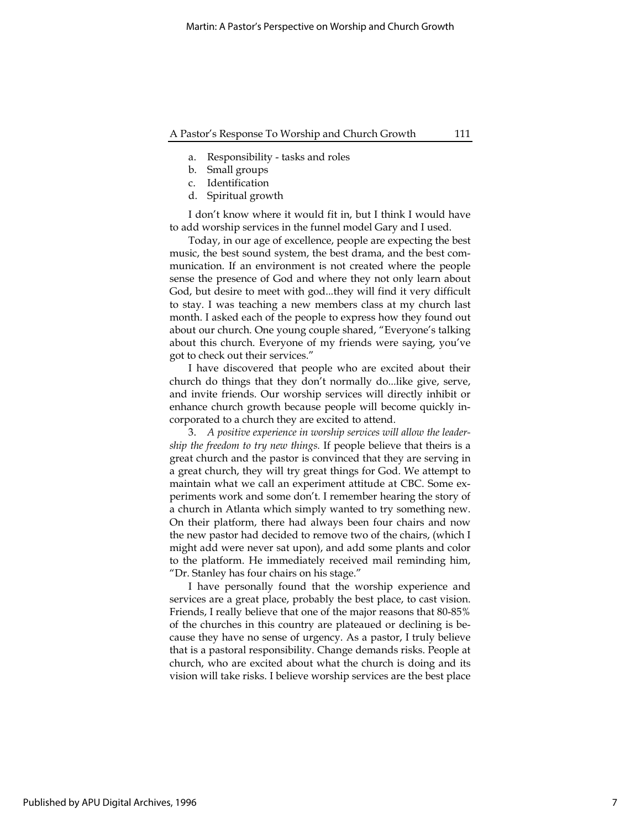#### A Pastor's Response To Worship and Church Growth 111

- a. Responsibility tasks and roles
- b. Small groups
- c. Identification
- d. Spiritual growth

I don't know where it would fit in, but I think I would have to add worship services in the funnel model Gary and I used.

Today, in our age of excellence, people are expecting the best music, the best sound system, the best drama, and the best communication. If an environment is not created where the people sense the presence of God and where they not only learn about God, but desire to meet with god...they will find it very difficult to stay. I was teaching a new members class at my church last month. I asked each of the people to express how they found out about our church. One young couple shared, "Everyone's talking about this church. Everyone of my friends were saying, you've got to check out their services."

I have discovered that people who are excited about their church do things that they don't normally do...like give, serve, and invite friends. Our worship services will directly inhibit or enhance church growth because people will become quickly incorporated to a church they are excited to attend.

3. A positive experience in worship services will allow the leadership the freedom to try new things. If people believe that theirs is a great church and the pastor is convinced that they are serving in a great church, they will try great things for God. We attempt to maintain what we call an experiment attitude at CBC. Some experiments work and some don't. I remember hearing the story of a church in Atlanta which simply wanted to try something new. On their platform, there had always been four chairs and now the new pastor had decided to remove two of the chairs, (which I might add were never sat upon), and add some plants and color to the platform. He immediately received mail reminding him, "Dr. Stanley has four chairs on his stage."

I have personally found that the worship experience and services are a great place, probably the best place, to cast vision. Friends, I really believe that one of the major reasons that 80-85% of the churches in this country are plateaued or declining is because they have no sense of urgency. As a pastor, I truly believe that is a pastoral responsibility. Change demands risks. People at church, who are excited about what the church is doing and its vision will take risks. I believe worship services are the best place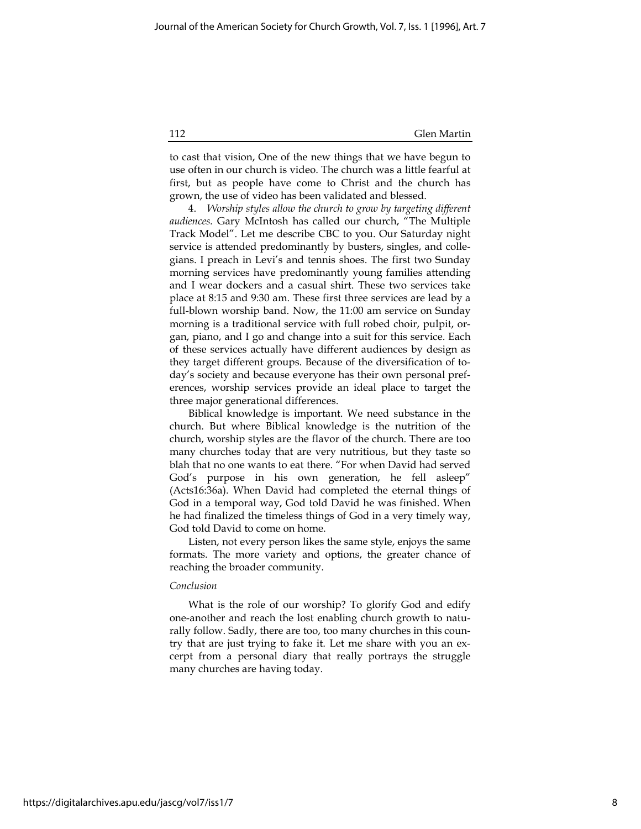to cast that vision, One of the new things that we have begun to use often in our church is video. The church was a little fearful at first, but as people have come to Christ and the church has grown, the use of video has been validated and blessed.

4. Worship styles allow the church to grow by targeting different audiences. Gary McIntosh has called our church, "The Multiple Track Model". Let me describe CBC to you. Our Saturday night service is attended predominantly by busters, singles, and collegians. I preach in Levi's and tennis shoes. The first two Sunday morning services have predominantly young families attending and I wear dockers and a casual shirt. These two services take place at 8:15 and 9:30 am. These first three services are lead by a full-blown worship band. Now, the 11:00 am service on Sunday morning is a traditional service with full robed choir, pulpit, organ, piano, and I go and change into a suit for this service. Each of these services actually have different audiences by design as they target different groups. Because of the diversification of today's society and because everyone has their own personal preferences, worship services provide an ideal place to target the three major generational differences.

Biblical knowledge is important. We need substance in the church. But where Biblical knowledge is the nutrition of the church, worship styles are the flavor of the church. There are too many churches today that are very nutritious, but they taste so blah that no one wants to eat there. "For when David had served God's purpose in his own generation, he fell asleep" (Acts16:36a). When David had completed the eternal things of God in a temporal way, God told David he was finished. When he had finalized the timeless things of God in a very timely way, God told David to come on home.

Listen, not every person likes the same style, enjoys the same formats. The more variety and options, the greater chance of reaching the broader community.

#### Conclusion

What is the role of our worship? To glorify God and edify one-another and reach the lost enabling church growth to naturally follow. Sadly, there are too, too many churches in this country that are just trying to fake it. Let me share with you an excerpt from a personal diary that really portrays the struggle many churches are having today.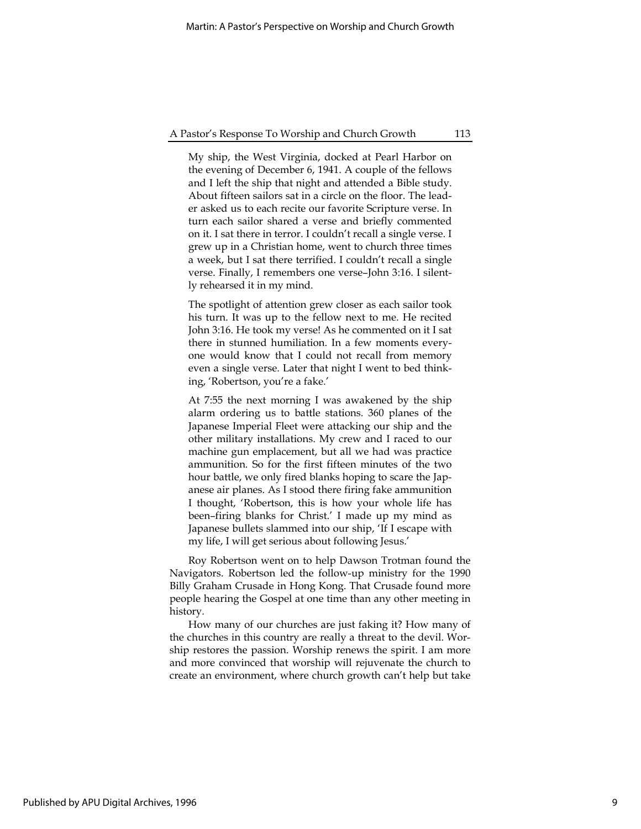#### A Pastor's Response To Worship and Church Growth 113

My ship, the West Virginia, docked at Pearl Harbor on the evening of December 6, 1941. A couple of the fellows and I left the ship that night and attended a Bible study. About fifteen sailors sat in a circle on the floor. The leader asked us to each recite our favorite Scripture verse. In turn each sailor shared a verse and briefly commented on it. I sat there in terror. I couldn't recall a single verse. I grew up in a Christian home, went to church three times a week, but I sat there terrified. I couldn't recall a single verse. Finally, I remembers one verse–John 3:16. I silently rehearsed it in my mind.

The spotlight of attention grew closer as each sailor took his turn. It was up to the fellow next to me. He recited John 3:16. He took my verse! As he commented on it I sat there in stunned humiliation. In a few moments everyone would know that I could not recall from memory even a single verse. Later that night I went to bed thinking, 'Robertson, you're a fake.'

At 7:55 the next morning I was awakened by the ship alarm ordering us to battle stations. 360 planes of the Japanese Imperial Fleet were attacking our ship and the other military installations. My crew and I raced to our machine gun emplacement, but all we had was practice ammunition. So for the first fifteen minutes of the two hour battle, we only fired blanks hoping to scare the Japanese air planes. As I stood there firing fake ammunition I thought, 'Robertson, this is how your whole life has been–firing blanks for Christ.' I made up my mind as Japanese bullets slammed into our ship, 'If I escape with my life, I will get serious about following Jesus.'

Roy Robertson went on to help Dawson Trotman found the Navigators. Robertson led the follow-up ministry for the 1990 Billy Graham Crusade in Hong Kong. That Crusade found more people hearing the Gospel at one time than any other meeting in history.

How many of our churches are just faking it? How many of the churches in this country are really a threat to the devil. Worship restores the passion. Worship renews the spirit. I am more and more convinced that worship will rejuvenate the church to create an environment, where church growth can't help but take